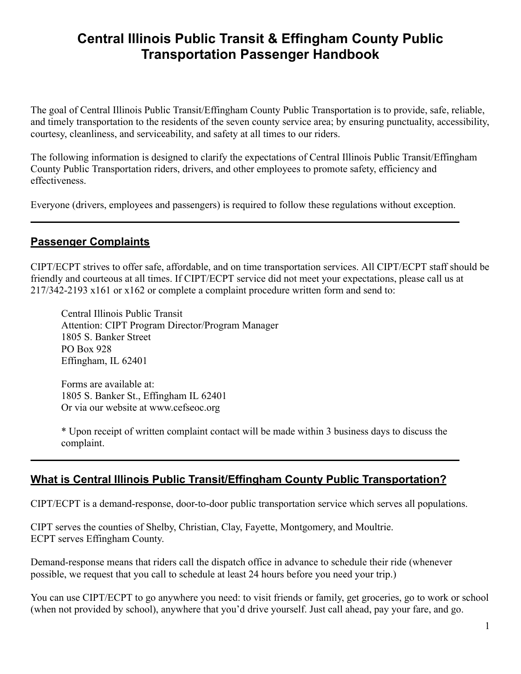# **Central Illinois Public Transit & Effingham County Public Transportation Passenger Handbook**

The goal of Central Illinois Public Transit/Effingham County Public Transportation is to provide, safe, reliable, and timely transportation to the residents of the seven county service area; by ensuring punctuality, accessibility, courtesy, cleanliness, and serviceability, and safety at all times to our riders.

The following information is designed to clarify the expectations of Central Illinois Public Transit/Effingham County Public Transportation riders, drivers, and other employees to promote safety, efficiency and effectiveness.

Everyone (drivers, employees and passengers) is required to follow these regulations without exception.

## **Passenger Complaints**

CIPT/ECPT strives to offer safe, affordable, and on time transportation services. All CIPT/ECPT staff should be friendly and courteous at all times. If CIPT/ECPT service did not meet your expectations, please call us at 217/342-2193 x161 or x162 or complete a complaint procedure written form and send to:

Central Illinois Public Transit Attention: CIPT Program Director/Program Manager 1805 S. Banker Street PO Box 928 Effingham, IL 62401

Forms are available at: 1805 S. Banker St., Effingham IL 62401 Or via our website at www.cefseoc.org

\* Upon receipt of written complaint contact will be made within 3 business days to discuss the complaint.

# **What is Central Illinois Public Transit/Effingham County Public Transportation?**

CIPT/ECPT is a demand-response, door-to-door public transportation service which serves all populations.

CIPT serves the counties of Shelby, Christian, Clay, Fayette, Montgomery, and Moultrie. ECPT serves Effingham County.

Demand-response means that riders call the dispatch office in advance to schedule their ride (whenever possible, we request that you call to schedule at least 24 hours before you need your trip.)

You can use CIPT/ECPT to go anywhere you need: to visit friends or family, get groceries, go to work or school (when not provided by school), anywhere that you'd drive yourself. Just call ahead, pay your fare, and go.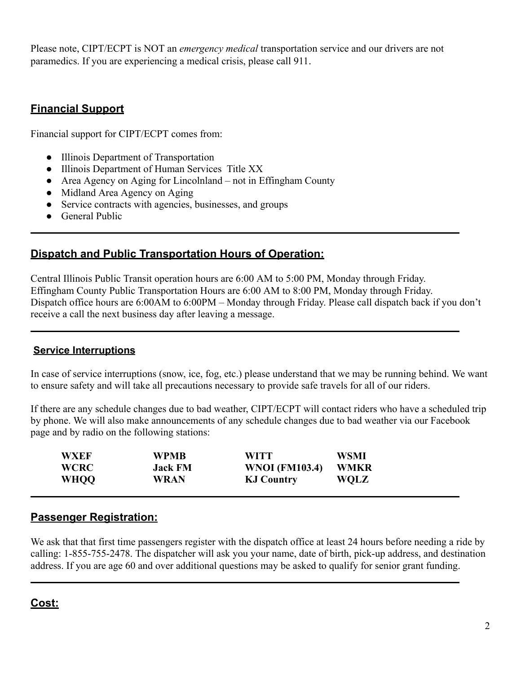Please note, CIPT/ECPT is NOT an *emergency medical* transportation service and our drivers are not paramedics. If you are experiencing a medical crisis, please call 911.

# **Financial Support**

Financial support for CIPT/ECPT comes from:

- Illinois Department of Transportation
- Illinois Department of Human Services Title XX
- Area Agency on Aging for Lincolnland not in Effingham County
- Midland Area Agency on Aging
- Service contracts with agencies, businesses, and groups
- General Public

## **Dispatch and Public Transportation Hours of Operation:**

Central Illinois Public Transit operation hours are 6:00 AM to 5:00 PM, Monday through Friday. Effingham County Public Transportation Hours are 6:00 AM to 8:00 PM, Monday through Friday. Dispatch office hours are 6:00AM to 6:00PM – Monday through Friday. Please call dispatch back if you don't receive a call the next business day after leaving a message.

#### **Service Interruptions**

In case of service interruptions (snow, ice, fog, etc.) please understand that we may be running behind. We want to ensure safety and will take all precautions necessary to provide safe travels for all of our riders.

If there are any schedule changes due to bad weather, CIPT/ECPT will contact riders who have a scheduled trip by phone. We will also make announcements of any schedule changes due to bad weather via our Facebook page and by radio on the following stations:

| WXEF        | WPMB           | <b>WITT</b>           | WSMI        |  |
|-------------|----------------|-----------------------|-------------|--|
| <b>WCRC</b> | <b>Jack FM</b> | <b>WNOI</b> (FM103.4) | WMKR        |  |
| <b>WHOO</b> | <b>WRAN</b>    | <b>KJ Country</b>     | <b>WQLZ</b> |  |

### **Passenger Registration:**

We ask that that first time passengers register with the dispatch office at least 24 hours before needing a ride by calling: 1-855-755-2478. The dispatcher will ask you your name, date of birth, pick-up address, and destination address. If you are age 60 and over additional questions may be asked to qualify for senior grant funding.

# **Cost:**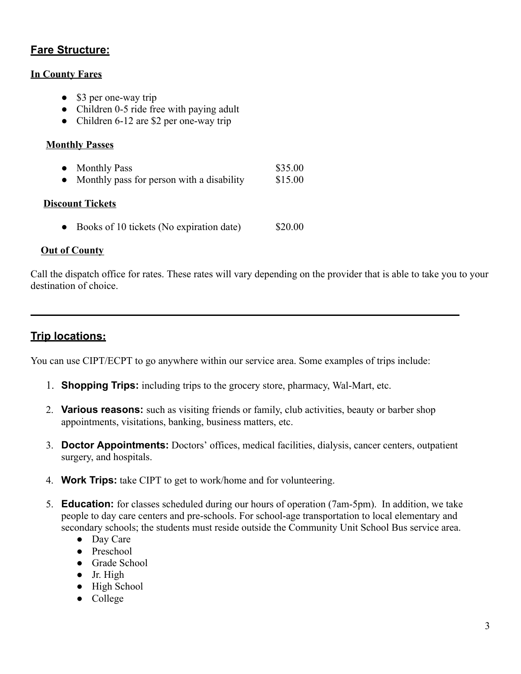### **Fare Structure:**

#### **In County Fares**

- \$3 per one-way trip
- Children 0-5 ride free with paying adult
- Children 6-12 are \$2 per one-way trip

#### **Monthly Passes**

| <b>Monthly Pass</b>                       | \$35.00 |
|-------------------------------------------|---------|
| Monthly pass for person with a disability | \$15.00 |

#### **Discount Tickets**

• Books of 10 tickets (No expiration date) \$20.00

#### **Out of County**

Call the dispatch office for rates. These rates will vary depending on the provider that is able to take you to your destination of choice.

# **Trip locations:**

You can use CIPT/ECPT to go anywhere within our service area. Some examples of trips include:

- 1. **Shopping Trips:** including trips to the grocery store, pharmacy, Wal-Mart, etc.
- 2. **Various reasons:** such as visiting friends or family, club activities, beauty or barber shop appointments, visitations, banking, business matters, etc.
- 3. **Doctor Appointments:** Doctors' offices, medical facilities, dialysis, cancer centers, outpatient surgery, and hospitals.
- 4. **Work Trips:** take CIPT to get to work/home and for volunteering.
- 5. **Education:** for classes scheduled during our hours of operation (7am-5pm). In addition, we take people to day care centers and pre-schools. For school-age transportation to local elementary and secondary schools; the students must reside outside the Community Unit School Bus service area.
	- Day Care
	- Preschool
	- Grade School
	- Jr. High
	- High School
	- College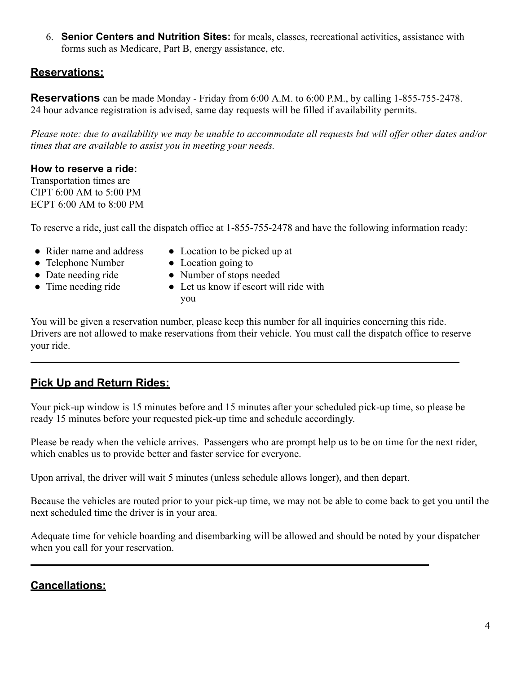6. **Senior Centers and Nutrition Sites:** for meals, classes, recreational activities, assistance with forms such as Medicare, Part B, energy assistance, etc.

## **Reservations:**

**Reservations** can be made Monday - Friday from 6:00 A.M. to 6:00 P.M., by calling 1-855-755-2478. 24 hour advance registration is advised, same day requests will be filled if availability permits.

*Please note: due to availability we may be unable to accommodate all requests but will offer other dates and/or times that are available to assist you in meeting your needs.*

#### **How to reserve a ride:**

Transportation times are CIPT 6:00 AM to 5:00 PM ECPT 6:00 AM to 8:00 PM

To reserve a ride, just call the dispatch office at 1-855-755-2478 and have the following information ready:

- Rider name and address Location to be picked up at
- Telephone Number Location going to
- Date needing ride Number of stops needed
- 
- Time needing ride Let us know if escort will ride with you

You will be given a reservation number, please keep this number for all inquiries concerning this ride. Drivers are not allowed to make reservations from their vehicle. You must call the dispatch office to reserve your ride.

# **Pick Up and Return Rides:**

Your pick-up window is 15 minutes before and 15 minutes after your scheduled pick-up time, so please be ready 15 minutes before your requested pick-up time and schedule accordingly.

Please be ready when the vehicle arrives. Passengers who are prompt help us to be on time for the next rider, which enables us to provide better and faster service for everyone.

Upon arrival, the driver will wait 5 minutes (unless schedule allows longer), and then depart.

Because the vehicles are routed prior to your pick-up time, we may not be able to come back to get you until the next scheduled time the driver is in your area.

Adequate time for vehicle boarding and disembarking will be allowed and should be noted by your dispatcher when you call for your reservation.

# **Cancellations:**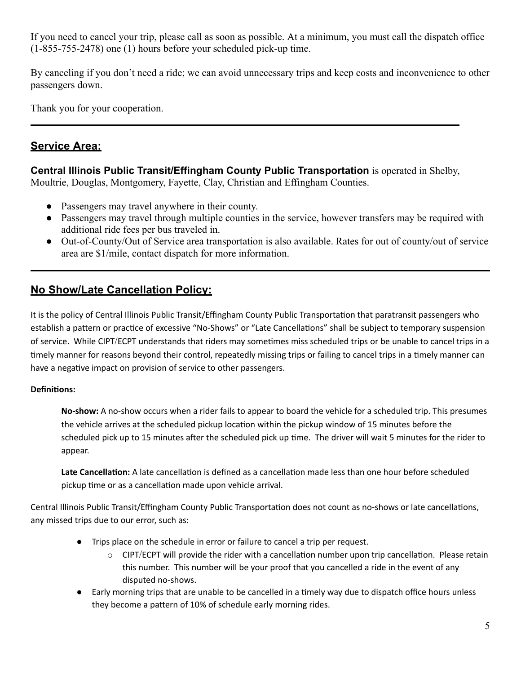If you need to cancel your trip, please call as soon as possible. At a minimum, you must call the dispatch office (1-855-755-2478) one (1) hours before your scheduled pick-up time.

By canceling if you don't need a ride; we can avoid unnecessary trips and keep costs and inconvenience to other passengers down.

Thank you for your cooperation.

# **Service Area:**

**Central Illinois Public Transit/Effingham County Public Transportation** is operated in Shelby, Moultrie, Douglas, Montgomery, Fayette, Clay, Christian and Effingham Counties.

- Passengers may travel anywhere in their county.
- Passengers may travel through multiple counties in the service, however transfers may be required with additional ride fees per bus traveled in.
- Out-of-County/Out of Service area transportation is also available. Rates for out of county/out of service area are \$1/mile, contact dispatch for more information.

## **No Show/Late Cancellation Policy:**

It is the policy of Central Illinois Public Transit/Effingham County Public Transportation that paratransit passengers who establish a pattern or practice of excessive "No-Shows" or "Late Cancellations" shall be subject to temporary suspension of service. While CIPT/ECPT understands that riders may sometimes miss scheduled trips or be unable to cancel trips in a timely manner for reasons beyond their control, repeatedly missing trips or failing to cancel trips in a timely manner can have a negative impact on provision of service to other passengers.

#### Definitions:

**No-show:** A no-show occurs when a rider fails to appear to board the vehicle for a scheduled trip. This presumes the vehicle arrives at the scheduled pickup location within the pickup window of 15 minutes before the scheduled pick up to 15 minutes after the scheduled pick up time. The driver will wait 5 minutes for the rider to appear.

Late Cancellation: A late cancellation is defined as a cancellation made less than one hour before scheduled pickup time or as a cancellation made upon vehicle arrival.

Central Illinois Public Transit/Effingham County Public Transportation does not count as no-shows or late cancellations, any missed trips due to our error, such as:

- Trips place on the schedule in error or failure to cancel a trip per request.
	- $\circ$  CIPT/ECPT will provide the rider with a cancellation number upon trip cancellation. Please retain this number. This number will be your proof that you cancelled a ride in the event of any disputed no-shows.
- Early morning trips that are unable to be cancelled in a timely way due to dispatch office hours unless they become a pattern of 10% of schedule early morning rides.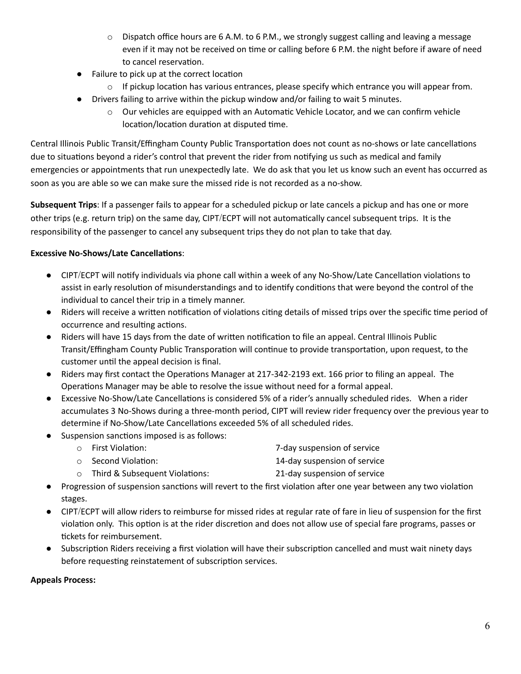- $\circ$  Dispatch office hours are 6 A.M. to 6 P.M., we strongly suggest calling and leaving a message even if it may not be received on time or calling before 6 P.M. the night before if aware of need to cancel reservation.
- Failure to pick up at the correct location
	- $\circ$  If pickup location has various entrances, please specify which entrance you will appear from.
- Drivers failing to arrive within the pickup window and/or failing to wait 5 minutes.
	- $\circ$  Our vehicles are equipped with an Automatic Vehicle Locator, and we can confirm vehicle location/location duration at disputed time.

Central Illinois Public Transit/Effingham County Public Transportation does not count as no-shows or late cancellations due to situations beyond a rider's control that prevent the rider from notifying us such as medical and family emergencies or appointments that run unexpectedly late. We do ask that you let us know such an event has occurred as soon as you are able so we can make sure the missed ride is not recorded as a no-show.

**Subsequent Trips**: If a passenger fails to appear for a scheduled pickup or late cancels a pickup and has one or more other trips (e.g. return trip) on the same day, CIPT/ECPT will not automatically cancel subsequent trips. It is the responsibility of the passenger to cancel any subsequent trips they do not plan to take that day.

#### **Excessive No-Shows/Late Cancellations:**

- CIPT/ECPT will notify individuals via phone call within a week of any No-Show/Late Cancellation violations to assist in early resolution of misunderstandings and to identify conditions that were beyond the control of the individual to cancel their trip in a timely manner.
- Riders will receive a written notification of violations citing details of missed trips over the specific time period of occurrence and resulting actions.
- Riders will have 15 days from the date of written notification to file an appeal. Central Illinois Public Transit/Effingham County Public Transporation will continue to provide transportation, upon request, to the customer until the appeal decision is final.
- Riders may first contact the Operations Manager at 217-342-2193 ext. 166 prior to filing an appeal. The Operations Manager may be able to resolve the issue without need for a formal appeal.
- Excessive No-Show/Late Cancellations is considered 5% of a rider's annually scheduled rides. When a rider accumulates 3 No-Shows during a three-month period, CIPT will review rider frequency over the previous year to determine if No-Show/Late Cancellations exceeded 5% of all scheduled rides.
- Suspension sanctions imposed is as follows:

| $\circ$ First Violation:  | 7-day suspension of service  |
|---------------------------|------------------------------|
| $\circ$ Second Violation: | 14-day suspension of service |

- $\circ$  Third & Subsequent Violations: 21-day suspension of service
- Progression of suspension sanctions will revert to the first violation after one year between any two violation stages.
- CIPT/ECPT will allow riders to reimburse for missed rides at regular rate of fare in lieu of suspension for the first violation only. This option is at the rider discretion and does not allow use of special fare programs, passes or tickets for reimbursement.
- Subscription Riders receiving a first violation will have their subscription cancelled and must wait ninety days before requesting reinstatement of subscription services.

#### **Appeals Process:**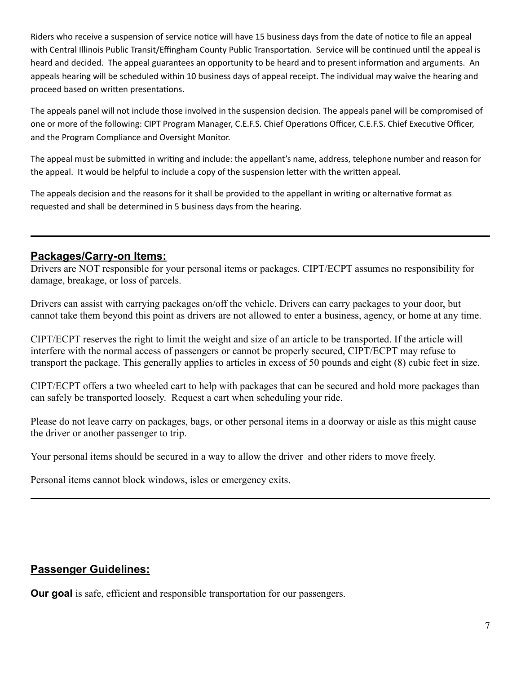Riders who receive a suspension of service notice will have 15 business days from the date of notice to file an appeal with Central Illinois Public Transit/Effingham County Public Transportation. Service will be continued until the appeal is heard and decided. The appeal guarantees an opportunity to be heard and to present information and arguments. An appeals hearing will be scheduled within 10 business days of appeal receipt. The individual may waive the hearing and proceed based on written presentations.

The appeals panel will not include those involved in the suspension decision. The appeals panel will be compromised of one or more of the following: CIPT Program Manager, C.E.F.S. Chief Operations Officer, C.E.F.S. Chief Executive Officer, and the Program Compliance and Oversight Monitor.

The appeal must be submitted in writing and include: the appellant's name, address, telephone number and reason for the appeal. It would be helpful to include a copy of the suspension letter with the written appeal.

The appeals decision and the reasons for it shall be provided to the appellant in writing or alternative format as requested and shall be determined in 5 business days from the hearing.

## **Packages/Carry-on Items:**

Drivers are NOT responsible for your personal items or packages. CIPT/ECPT assumes no responsibility for damage, breakage, or loss of parcels.

Drivers can assist with carrying packages on/off the vehicle. Drivers can carry packages to your door, but cannot take them beyond this point as drivers are not allowed to enter a business, agency, or home at any time.

CIPT/ECPT reserves the right to limit the weight and size of an article to be transported. If the article will interfere with the normal access of passengers or cannot be properly secured, CIPT/ECPT may refuse to transport the package. This generally applies to articles in excess of 50 pounds and eight (8) cubic feet in size.

CIPT/ECPT offers a two wheeled cart to help with packages that can be secured and hold more packages than can safely be transported loosely. Request a cart when scheduling your ride.

Please do not leave carry on packages, bags, or other personal items in a doorway or aisle as this might cause the driver or another passenger to trip.

Your personal items should be secured in a way to allow the driver and other riders to move freely.

Personal items cannot block windows, isles or emergency exits.

### **Passenger Guidelines:**

**Our goal** is safe, efficient and responsible transportation for our passengers.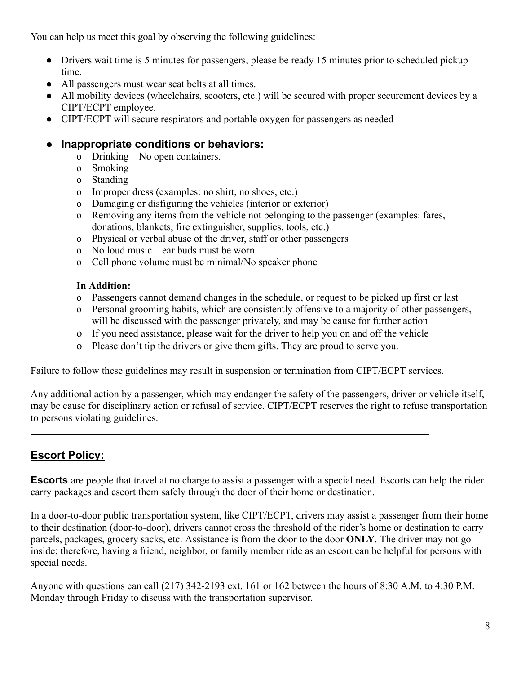You can help us meet this goal by observing the following guidelines:

- Drivers wait time is 5 minutes for passengers, please be ready 15 minutes prior to scheduled pickup time.
- All passengers must wear seat belts at all times.
- All mobility devices (wheelchairs, scooters, etc.) will be secured with proper securement devices by a CIPT/ECPT employee.
- CIPT/ECPT will secure respirators and portable oxygen for passengers as needed

# **Inappropriate conditions or behaviors:**

- o Drinking No open containers.
- o Smoking
- o Standing
- o Improper dress (examples: no shirt, no shoes, etc.)
- o Damaging or disfiguring the vehicles (interior or exterior)
- o Removing any items from the vehicle not belonging to the passenger (examples: fares, donations, blankets, fire extinguisher, supplies, tools, etc.)
- o Physical or verbal abuse of the driver, staff or other passengers
- o No loud music ear buds must be worn.
- o Cell phone volume must be minimal/No speaker phone

#### **In Addition:**

- o Passengers cannot demand changes in the schedule, or request to be picked up first or last
- o Personal grooming habits, which are consistently offensive to a majority of other passengers, will be discussed with the passenger privately, and may be cause for further action
- o If you need assistance, please wait for the driver to help you on and off the vehicle
- o Please don't tip the drivers or give them gifts. They are proud to serve you.

Failure to follow these guidelines may result in suspension or termination from CIPT/ECPT services.

Any additional action by a passenger, which may endanger the safety of the passengers, driver or vehicle itself, may be cause for disciplinary action or refusal of service. CIPT/ECPT reserves the right to refuse transportation to persons violating guidelines.

# **Escort Policy:**

**Escorts** are people that travel at no charge to assist a passenger with a special need. Escorts can help the rider carry packages and escort them safely through the door of their home or destination.

In a door-to-door public transportation system, like CIPT/ECPT, drivers may assist a passenger from their home to their destination (door-to-door), drivers cannot cross the threshold of the rider's home or destination to carry parcels, packages, grocery sacks, etc. Assistance is from the door to the door **ONLY**. The driver may not go inside; therefore, having a friend, neighbor, or family member ride as an escort can be helpful for persons with special needs.

Anyone with questions can call (217) 342-2193 ext. 161 or 162 between the hours of 8:30 A.M. to 4:30 P.M. Monday through Friday to discuss with the transportation supervisor.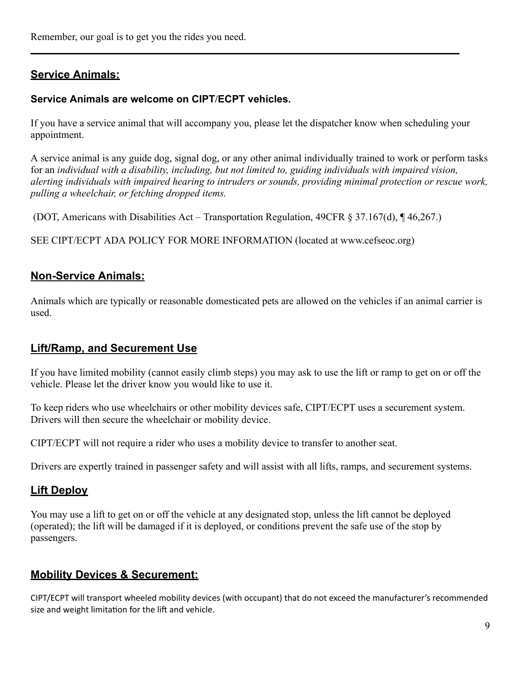## **Service Animals:**

#### **Service Animals are welcome on CIPT/ECPT vehicles.**

If you have a service animal that will accompany you, please let the dispatcher know when scheduling your appointment.

A service animal is any guide dog, signal dog, or any other animal individually trained to work or perform tasks for an *individual with a disability, including, but not limited to, guiding individuals with impaired vision, alerting individuals with impaired hearing to intruders or sounds, providing minimal protection or rescue work, pulling a wheelchair, or fetching dropped items.*

(DOT, Americans with Disabilities Act – Transportation Regulation, 49CFR § 37.167(d), ¶ 46,267.)

SEE CIPT/ECPT ADA POLICY FOR MORE INFORMATION (located at www.cefseoc.org)

#### **Non-Service Animals:**

Animals which are typically or reasonable domesticated pets are allowed on the vehicles if an animal carrier is used.

#### **Lift/Ramp, and Securement Use**

If you have limited mobility (cannot easily climb steps) you may ask to use the lift or ramp to get on or off the vehicle. Please let the driver know you would like to use it.

To keep riders who use wheelchairs or other mobility devices safe, CIPT/ECPT uses a securement system. Drivers will then secure the wheelchair or mobility device.

CIPT/ECPT will not require a rider who uses a mobility device to transfer to another seat.

Drivers are expertly trained in passenger safety and will assist with all lifts, ramps, and securement systems.

### **Lift Deploy**

You may use a lift to get on or off the vehicle at any designated stop, unless the lift cannot be deployed (operated); the lift will be damaged if it is deployed, or conditions prevent the safe use of the stop by passengers.

### **Mobility Devices & Securement:**

CIPT/ECPT will transport wheeled mobility devices (with occupant) that do not exceed the manufacturer's recommended size and weight limitation for the lift and vehicle.